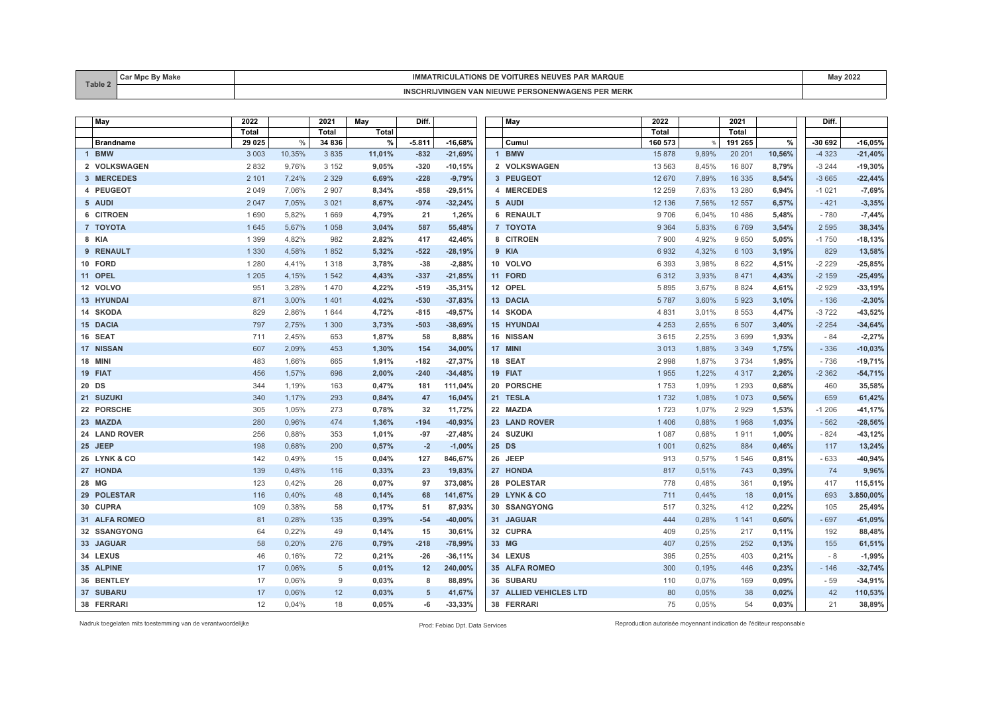| Table. | ັບແ | .<br>VOITURE<br><b>IAROUE</b><br>⊶⊔v⊨'<br>110NS<br>TRIGULA                         |  |
|--------|-----|------------------------------------------------------------------------------------|--|
|        |     | <b>SI'S PER MERIL</b><br><b>SONENW</b><br>/INGEN VAN NIEUWI<br>- DED.<br>WAGL<br>. |  |

| May              | 2022         |        | 2021            | May    | Diff.    |           | May                    | 2022         |               | 2021     |        | Diff.   |           |
|------------------|--------------|--------|-----------------|--------|----------|-----------|------------------------|--------------|---------------|----------|--------|---------|-----------|
|                  | <b>Total</b> |        | <b>Total</b>    | Total  |          |           |                        | <b>Total</b> |               | Total    |        |         |           |
| <b>Brandname</b> | 29 0 25      | $\%$   | 34 836          | %      | $-5.811$ | $-16,68%$ | Cumul                  | 160 573      | $\frac{9}{6}$ | 191 265  | $\%$   | -30 692 | $-16,05%$ |
| 1 BMW            | 3 0 0 3      | 10,35% | 3 8 3 5         | 11,01% | $-832$   | $-21,69%$ | 1 BMW                  | 15878        | 9,89%         | 20 20 1  | 10,56% | $-4323$ | $-21,40%$ |
| 2 VOLKSWAGEN     | 2832         | 9,76%  | 3 1 5 2         | 9,05%  | $-320$   | $-10,15%$ | 2 VOLKSWAGEN           | 13 5 63      | 8,45%         | 16 807   | 8,79%  | $-3244$ | $-19,30%$ |
| 3 MERCEDES       | 2 1 0 1      | 7,24%  | 2 3 2 9         | 6,69%  | $-228$   | $-9,79%$  | 3 PEUGEOT              | 12 670       | 7,89%         | 16 335   | 8,54%  | $-3665$ | $-22,44%$ |
| 4 PEUGEOT        | 2 0 4 9      | 7,06%  | 2 9 0 7         | 8,34%  | $-858$   | $-29,51%$ | 4 MERCEDES             | 12 259       | 7,63%         | 13 2 8 0 | 6,94%  | $-1021$ | $-7,69%$  |
| 5 AUDI           | 2 0 4 7      | 7,05%  | 3 0 2 1         | 8,67%  | $-974$   | $-32,24%$ | 5 AUDI                 | 12 136       | 7,56%         | 12 5 5 7 | 6,57%  | $-421$  | $-3,35%$  |
| 6 CITROEN        | 1690         | 5,82%  | 1 6 6 9         | 4,79%  | 21       | 1,26%     | 6 RENAULT              | 9706         | 6,04%         | 10 4 8 6 | 5,48%  | $-780$  | $-7,44%$  |
| 7 TOYOTA         | 1 6 4 5      | 5,67%  | 1 0 5 8         | 3,04%  | 587      | 55,48%    | 7 TOYOTA               | 9 3 6 4      | 5,83%         | 6769     | 3,54%  | 2 5 9 5 | 38,34%    |
| 8 KIA            | 1 3 9 9      | 4,82%  | 982             | 2,82%  | 417      | 42,46%    | 8 CITROEN              | 7900         | 4,92%         | 9650     | 5,05%  | $-1750$ | $-18,13%$ |
| 9 RENAULT        | 1 3 3 0      | 4,58%  | 1852            | 5,32%  | $-522$   | $-28,19%$ | 9 KIA                  | 6932         | 4,32%         | 6 1 0 3  | 3,19%  | 829     | 13,58%    |
| 10 FORD          | 1 2 8 0      | 4,41%  | 1 3 1 8         | 3,78%  | $-38$    | $-2,88%$  | 10 VOLVO               | 6 3 9 3      | 3,98%         | 8 6 2 2  | 4,51%  | $-2229$ | $-25,85%$ |
| 11 OPEL          | 1 2 0 5      | 4,15%  | 1 5 4 2         | 4,43%  | $-337$   | $-21,85%$ | 11 FORD                | 6312         | 3,93%         | 8 4 7 1  | 4,43%  | $-2159$ | $-25,49%$ |
| 12 VOLVO         | 951          | 3,28%  | 1 4 7 0         | 4,22%  | $-519$   | $-35,31%$ | 12 OPEL                | 5895         | 3,67%         | 8 8 2 4  | 4,61%  | $-2929$ | $-33,19%$ |
| 13 HYUNDAI       | 871          | 3,00%  | 1 4 0 1         | 4,02%  | $-530$   | $-37,83%$ | 13 DACIA               | 5787         | 3,60%         | 5923     | 3,10%  | $-136$  | $-2,30%$  |
| 14 SKODA         | 829          | 2,86%  | 1 644           | 4,72%  | $-815$   | $-49,57%$ | 14 SKODA               | 4 8 3 1      | 3,01%         | 8 5 5 3  | 4,47%  | $-3722$ | $-43,52%$ |
| 15 DACIA         | 797          | 2,75%  | 1 300           | 3,73%  | $-503$   | $-38,69%$ | <b>15 HYUNDAI</b>      | 4 2 5 3      | 2,65%         | 6 5 0 7  | 3,40%  | $-2254$ | $-34,64%$ |
| 16 SEAT          | 711          | 2,45%  | 653             | 1,87%  | 58       | 8,88%     | 16 NISSAN              | 3615         | 2,25%         | 3699     | 1,93%  | $-84$   | $-2,27%$  |
| 17 NISSAN        | 607          | 2.09%  | 453             | 1,30%  | 154      | 34,00%    | 17 MINI                | 3013         | 1,88%         | 3 3 4 9  | 1,75%  | $-336$  | $-10,03%$ |
| 18 MINI          | 483          | 1,66%  | 665             | 1,91%  | $-182$   | $-27,37%$ | 18 SEAT                | 2998         | 1,87%         | 3734     | 1,95%  | $-736$  | $-19,71%$ |
| 19 FIAT          | 456          | 1,57%  | 696             | 2,00%  | $-240$   | $-34,48%$ | 19 FIAT                | 1955         | 1,22%         | 4 3 1 7  | 2,26%  | $-2362$ | $-54,71%$ |
| 20 DS            | 344          | 1,19%  | 163             | 0,47%  | 181      | 111,04%   | 20 PORSCHE             | 1753         | 1,09%         | 1 2 9 3  | 0,68%  | 460     | 35,58%    |
| 21 SUZUKI        | 340          | 1,17%  | 293             | 0,84%  | 47       | 16,04%    | 21 TESLA               | 1732         | 1,08%         | 1 0 7 3  | 0,56%  | 659     | 61,42%    |
| 22 PORSCHE       | 305          | 1,05%  | 273             | 0,78%  | 32       | 11,72%    | 22 MAZDA               | 1723         | 1,07%         | 2929     | 1,53%  | $-1206$ | $-41,17%$ |
| 23 MAZDA         | 280          | 0,96%  | 474             | 1,36%  | $-194$   | $-40,93%$ | 23 LAND ROVER          | 1406         | 0,88%         | 1968     | 1,03%  | $-562$  | $-28,56%$ |
| 24 LAND ROVER    | 256          | 0,88%  | 353             | 1,01%  | $-97$    | $-27,48%$ | 24 SUZUKI              | 1 0 8 7      | 0,68%         | 1911     | 1,00%  | $-824$  | $-43,12%$ |
| 25 JEEP          | 198          | 0,68%  | 200             | 0,57%  | $-2$     | $-1,00%$  | 25 DS                  | 1 0 0 1      | 0,62%         | 884      | 0,46%  | 117     | 13,24%    |
| 26 LYNK & CO     | 142          | 0.49%  | 15              | 0,04%  | 127      | 846,67%   | 26 JEEP                | 913          | 0,57%         | 1546     | 0,81%  | $-633$  | $-40,94%$ |
| 27 HONDA         | 139          | 0,48%  | 116             | 0,33%  | 23       | 19,83%    | 27 HONDA               | 817          | 0,51%         | 743      | 0,39%  | 74      | 9,96%     |
| 28 MG            | 123          | 0,42%  | 26              | 0,07%  | 97       | 373,08%   | 28 POLESTAR            | 778          | 0,48%         | 361      | 0,19%  | 417     | 115,51%   |
| 29 POLESTAR      | 116          | 0,40%  | 48              | 0,14%  | 68       | 141,67%   | 29 LYNK & CO           | 711          | 0,44%         | 18       | 0,01%  | 693     | 3.850,00% |
| 30 CUPRA         | 109          | 0,38%  | 58              | 0,17%  | 51       | 87,93%    | 30 SSANGYONG           | 517          | 0,32%         | 412      | 0,22%  | 105     | 25,49%    |
| 31 ALFA ROMEO    | 81           | 0,28%  | 135             | 0,39%  | $-54$    | $-40,00%$ | 31 JAGUAR              | 444          | 0,28%         | 1 1 4 1  | 0,60%  | $-697$  | $-61,09%$ |
| 32 SSANGYONG     | 64           | 0,22%  | 49              | 0,14%  | 15       | 30,61%    | 32 CUPRA               | 409          | 0,25%         | 217      | 0,11%  | 192     | 88,48%    |
| 33 JAGUAR        | 58           | 0,20%  | 276             | 0,79%  | $-218$   | $-78,99%$ | 33 MG                  | 407          | 0.25%         | 252      | 0,13%  | 155     | 61,51%    |
| 34 LEXUS         | 46           | 0.16%  | 72              | 0,21%  | $-26$    | $-36,11%$ | 34 LEXUS               | 395          | 0.25%         | 403      | 0,21%  | $-8$    | $-1,99%$  |
| 35 ALPINE        | 17           | 0,06%  | $5\phantom{.0}$ | 0,01%  | 12       | 240,00%   | 35 ALFA ROMEO          | 300          | 0,19%         | 446      | 0,23%  | $-146$  | $-32,74%$ |
| 36 BENTLEY       | 17           | 0,06%  | 9               | 0,03%  | 8        | 88,89%    | 36 SUBARU              | 110          | 0,07%         | 169      | 0,09%  | $-59$   | $-34,91%$ |
| 37 SUBARU        | 17           | 0,06%  | 12              | 0,03%  | 5        | 41,67%    | 37 ALLIED VEHICLES LTD | 80           | 0,05%         | 38       | 0,02%  | 42      | 110,53%   |
| 38 FERRARI       | 12           | 0.04%  | 18              | 0,05%  | -6       | $-33,33%$ | 38 FERRARI             | 75           | 0,05%         | 54       | 0.03%  | 21      | 38,89%    |

Nadruk toegelaten mits toestemming van de verantwoordelijke Prod: Febiac Dpt. Data Services Reproduction autorisée moyennant indication de l'éditeur responsable